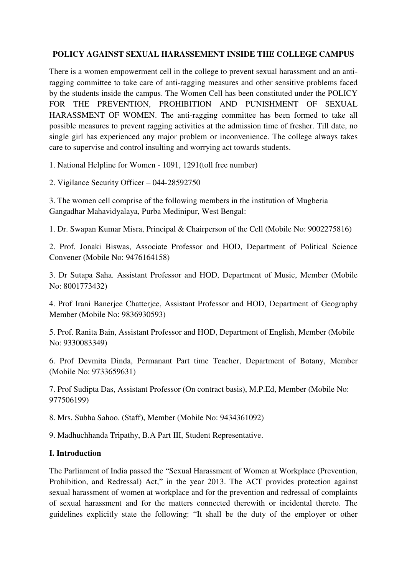### **POLICY AGAINST SEXUAL HARASSEMENT INSIDE THE COLLEGE CAMPUS**

There is a women empowerment cell in the college to prevent sexual harassment and an antiragging committee to take care of anti-ragging measures and other sensitive problems faced by the students inside the campus. The Women Cell has been constituted under the POLICY FOR THE PREVENTION, PROHIBITION AND PUNISHMENT OF SEXUAL HARASSMENT OF WOMEN. The anti-ragging committee has been formed to take all possible measures to prevent ragging activities at the admission time of fresher. Till date, no single girl has experienced any major problem or inconvenience. The college always takes care to supervise and control insulting and worrying act towards students.

1. National Helpline for Women - 1091, 1291(toll free number)

2. Vigilance Security Officer – 044-28592750

3. The women cell comprise of the following members in the institution of Mugberia Gangadhar Mahavidyalaya, Purba Medinipur, West Bengal:

1. Dr. Swapan Kumar Misra, Principal & Chairperson of the Cell (Mobile No: 9002275816)

2. Prof. Jonaki Biswas, Associate Professor and HOD, Department of Political Science Convener (Mobile No: 9476164158)

3. Dr Sutapa Saha. Assistant Professor and HOD, Department of Music, Member (Mobile No: 8001773432)

4. Prof Irani Banerjee Chatterjee, Assistant Professor and HOD, Department of Geography Member (Mobile No: 9836930593)

5. Prof. Ranita Bain, Assistant Professor and HOD, Department of English, Member (Mobile No: 9330083349)

6. Prof Devmita Dinda, Permanant Part time Teacher, Department of Botany, Member (Mobile No: 9733659631)

7. Prof Sudipta Das, Assistant Professor (On contract basis), M.P.Ed, Member (Mobile No: 977506199)

8. Mrs. Subha Sahoo. (Staff), Member (Mobile No: 9434361092)

9. Madhuchhanda Tripathy, B.A Part III, Student Representative.

#### **I. Introduction**

The Parliament of India passed the "Sexual Harassment of Women at Workplace (Prevention, Prohibition, and Redressal) Act," in the year 2013. The ACT provides protection against sexual harassment of women at workplace and for the prevention and redressal of complaints of sexual harassment and for the matters connected therewith or incidental thereto. The guidelines explicitly state the following: "It shall be the duty of the employer or other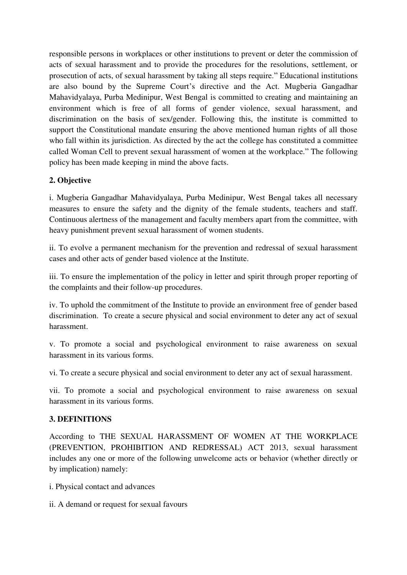responsible persons in workplaces or other institutions to prevent or deter the commission of acts of sexual harassment and to provide the procedures for the resolutions, settlement, or prosecution of acts, of sexual harassment by taking all steps require." Educational institutions are also bound by the Supreme Court's directive and the Act. Mugberia Gangadhar Mahavidyalaya, Purba Medinipur, West Bengal is committed to creating and maintaining an environment which is free of all forms of gender violence, sexual harassment, and discrimination on the basis of sex/gender. Following this, the institute is committed to support the Constitutional mandate ensuring the above mentioned human rights of all those who fall within its jurisdiction. As directed by the act the college has constituted a committee called Woman Cell to prevent sexual harassment of women at the workplace." The following policy has been made keeping in mind the above facts.

# **2. Objective**

i. Mugberia Gangadhar Mahavidyalaya, Purba Medinipur, West Bengal takes all necessary measures to ensure the safety and the dignity of the female students, teachers and staff. Continuous alertness of the management and faculty members apart from the committee, with heavy punishment prevent sexual harassment of women students.

ii. To evolve a permanent mechanism for the prevention and redressal of sexual harassment cases and other acts of gender based violence at the Institute.

iii. To ensure the implementation of the policy in letter and spirit through proper reporting of the complaints and their follow-up procedures.

iv. To uphold the commitment of the Institute to provide an environment free of gender based discrimination. To create a secure physical and social environment to deter any act of sexual harassment.

v. To promote a social and psychological environment to raise awareness on sexual harassment in its various forms.

vi. To create a secure physical and social environment to deter any act of sexual harassment.

vii. To promote a social and psychological environment to raise awareness on sexual harassment in its various forms.

# **3. DEFINITIONS**

According to THE SEXUAL HARASSMENT OF WOMEN AT THE WORKPLACE (PREVENTION, PROHIBITION AND REDRESSAL) ACT 2013, sexual harassment includes any one or more of the following unwelcome acts or behavior (whether directly or by implication) namely:

i. Physical contact and advances

ii. A demand or request for sexual favours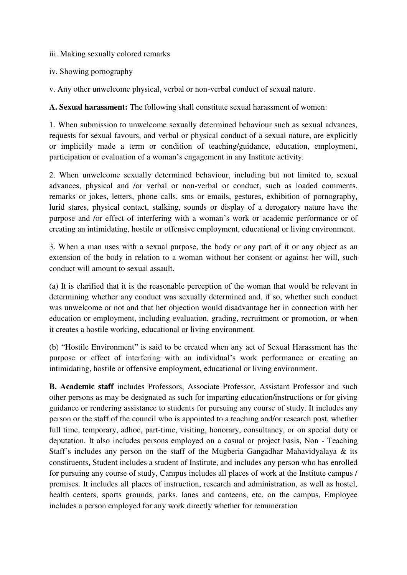iii. Making sexually colored remarks

iv. Showing pornography

v. Any other unwelcome physical, verbal or non-verbal conduct of sexual nature.

**A. Sexual harassment:** The following shall constitute sexual harassment of women:

1. When submission to unwelcome sexually determined behaviour such as sexual advances, requests for sexual favours, and verbal or physical conduct of a sexual nature, are explicitly or implicitly made a term or condition of teaching/guidance, education, employment, participation or evaluation of a woman's engagement in any Institute activity.

2. When unwelcome sexually determined behaviour, including but not limited to, sexual advances, physical and /or verbal or non-verbal or conduct, such as loaded comments, remarks or jokes, letters, phone calls, sms or emails, gestures, exhibition of pornography, lurid stares, physical contact, stalking, sounds or display of a derogatory nature have the purpose and /or effect of interfering with a woman's work or academic performance or of creating an intimidating, hostile or offensive employment, educational or living environment.

3. When a man uses with a sexual purpose, the body or any part of it or any object as an extension of the body in relation to a woman without her consent or against her will, such conduct will amount to sexual assault.

(a) It is clarified that it is the reasonable perception of the woman that would be relevant in determining whether any conduct was sexually determined and, if so, whether such conduct was unwelcome or not and that her objection would disadvantage her in connection with her education or employment, including evaluation, grading, recruitment or promotion, or when it creates a hostile working, educational or living environment.

(b) "Hostile Environment" is said to be created when any act of Sexual Harassment has the purpose or effect of interfering with an individual's work performance or creating an intimidating, hostile or offensive employment, educational or living environment.

**B. Academic staff** includes Professors, Associate Professor, Assistant Professor and such other persons as may be designated as such for imparting education/instructions or for giving guidance or rendering assistance to students for pursuing any course of study. It includes any person or the staff of the council who is appointed to a teaching and/or research post, whether full time, temporary, adhoc, part-time, visiting, honorary, consultancy, or on special duty or deputation. It also includes persons employed on a casual or project basis, Non - Teaching Staff's includes any person on the staff of the Mugberia Gangadhar Mahavidyalaya & its constituents, Student includes a student of Institute, and includes any person who has enrolled for pursuing any course of study, Campus includes all places of work at the Institute campus / premises. It includes all places of instruction, research and administration, as well as hostel, health centers, sports grounds, parks, lanes and canteens, etc. on the campus, Employee includes a person employed for any work directly whether for remuneration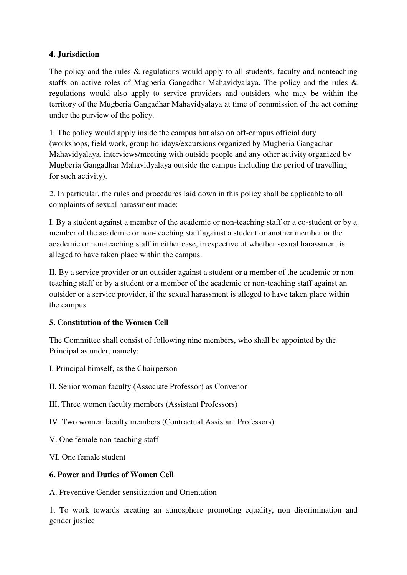### **4. Jurisdiction**

The policy and the rules & regulations would apply to all students, faculty and nonteaching staffs on active roles of Mugberia Gangadhar Mahavidyalaya. The policy and the rules & regulations would also apply to service providers and outsiders who may be within the territory of the Mugberia Gangadhar Mahavidyalaya at time of commission of the act coming under the purview of the policy.

1. The policy would apply inside the campus but also on off-campus official duty (workshops, field work, group holidays/excursions organized by Mugberia Gangadhar Mahavidyalaya, interviews/meeting with outside people and any other activity organized by Mugberia Gangadhar Mahavidyalaya outside the campus including the period of travelling for such activity).

2. In particular, the rules and procedures laid down in this policy shall be applicable to all complaints of sexual harassment made:

I. By a student against a member of the academic or non-teaching staff or a co-student or by a member of the academic or non-teaching staff against a student or another member or the academic or non-teaching staff in either case, irrespective of whether sexual harassment is alleged to have taken place within the campus.

II. By a service provider or an outsider against a student or a member of the academic or nonteaching staff or by a student or a member of the academic or non-teaching staff against an outsider or a service provider, if the sexual harassment is alleged to have taken place within the campus.

# **5. Constitution of the Women Cell**

The Committee shall consist of following nine members, who shall be appointed by the Principal as under, namely:

I. Principal himself, as the Chairperson

II. Senior woman faculty (Associate Professor) as Convenor

III. Three women faculty members (Assistant Professors)

IV. Two women faculty members (Contractual Assistant Professors)

V. One female non-teaching staff

VI. One female student

#### **6. Power and Duties of Women Cell**

A. Preventive Gender sensitization and Orientation

1. To work towards creating an atmosphere promoting equality, non discrimination and gender justice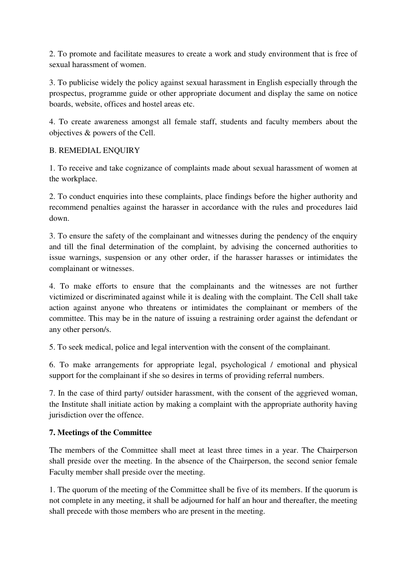2. To promote and facilitate measures to create a work and study environment that is free of sexual harassment of women.

3. To publicise widely the policy against sexual harassment in English especially through the prospectus, programme guide or other appropriate document and display the same on notice boards, website, offices and hostel areas etc.

4. To create awareness amongst all female staff, students and faculty members about the objectives & powers of the Cell.

# B. REMEDIAL ENQUIRY

1. To receive and take cognizance of complaints made about sexual harassment of women at the workplace.

2. To conduct enquiries into these complaints, place findings before the higher authority and recommend penalties against the harasser in accordance with the rules and procedures laid down.

3. To ensure the safety of the complainant and witnesses during the pendency of the enquiry and till the final determination of the complaint, by advising the concerned authorities to issue warnings, suspension or any other order, if the harasser harasses or intimidates the complainant or witnesses.

4. To make efforts to ensure that the complainants and the witnesses are not further victimized or discriminated against while it is dealing with the complaint. The Cell shall take action against anyone who threatens or intimidates the complainant or members of the committee. This may be in the nature of issuing a restraining order against the defendant or any other person/s.

5. To seek medical, police and legal intervention with the consent of the complainant.

6. To make arrangements for appropriate legal, psychological / emotional and physical support for the complainant if she so desires in terms of providing referral numbers.

7. In the case of third party/ outsider harassment, with the consent of the aggrieved woman, the Institute shall initiate action by making a complaint with the appropriate authority having jurisdiction over the offence.

# **7. Meetings of the Committee**

The members of the Committee shall meet at least three times in a year. The Chairperson shall preside over the meeting. In the absence of the Chairperson, the second senior female Faculty member shall preside over the meeting.

1. The quorum of the meeting of the Committee shall be five of its members. If the quorum is not complete in any meeting, it shall be adjourned for half an hour and thereafter, the meeting shall precede with those members who are present in the meeting.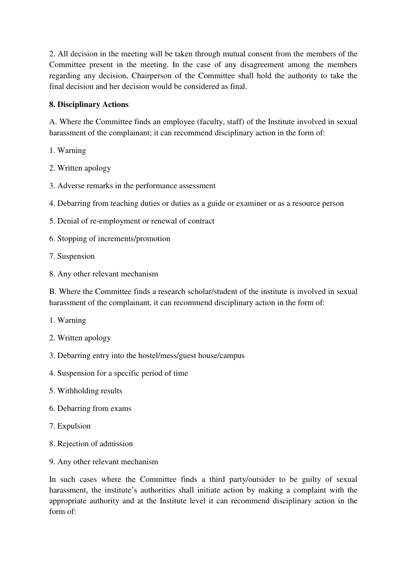2. All decision in the meeting will be taken through mutual consent from the members of the Committee present in the meeting. In the case of any disagreement among the members regarding any decision, Chairperson of the Committee shall hold the authority to take the final decision and her decision would be considered as final.

### **8. Disciplinary Actions**

A. Where the Committee finds an employee (faculty, staff) of the Institute involved in sexual harassment of the complainant; it can recommend disciplinary action in the form of:

- 1. Warning
- 2. Written apology
- 3. Adverse remarks in the performance assessment
- 4. Debarring from teaching duties or duties as a guide or examiner or as a resource person
- 5. Denial of re-employment or renewal of contract
- 6. Stopping of increments/promotion
- 7. Suspension
- 8. Any other relevant mechanism

B. Where the Committee finds a research scholar/student of the institute is involved in sexual harassment of the complainant, it can recommend disciplinary action in the form of:

- 1. Warning
- 2. Written apology
- 3. Debarring entry into the hostel/mess/guest house/campus
- 4. Suspension for a specific period of time
- 5. Withholding results
- 6. Debarring from exams
- 7. Expulsion
- 8. Rejection of admission
- 9. Any other relevant mechanism

In such cases where the Committee finds a third party/outsider to be guilty of sexual harassment, the institute's authorities shall initiate action by making a complaint with the appropriate authority and at the Institute level it can recommend disciplinary action in the form of: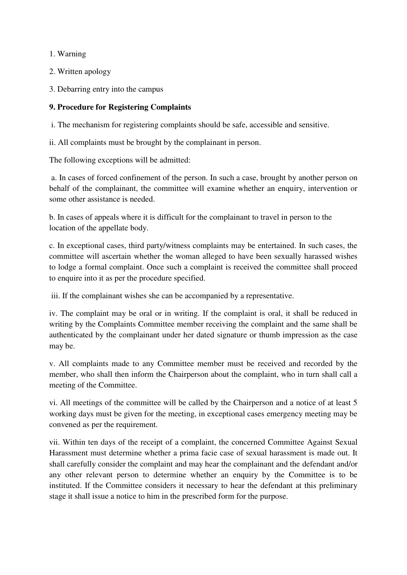1. Warning

- 2. Written apology
- 3. Debarring entry into the campus

### **9. Procedure for Registering Complaints**

i. The mechanism for registering complaints should be safe, accessible and sensitive.

ii. All complaints must be brought by the complainant in person.

The following exceptions will be admitted:

 a. In cases of forced confinement of the person. In such a case, brought by another person on behalf of the complainant, the committee will examine whether an enquiry, intervention or some other assistance is needed.

b. In cases of appeals where it is difficult for the complainant to travel in person to the location of the appellate body.

c. In exceptional cases, third party/witness complaints may be entertained. In such cases, the committee will ascertain whether the woman alleged to have been sexually harassed wishes to lodge a formal complaint. Once such a complaint is received the committee shall proceed to enquire into it as per the procedure specified.

iii. If the complainant wishes she can be accompanied by a representative.

iv. The complaint may be oral or in writing. If the complaint is oral, it shall be reduced in writing by the Complaints Committee member receiving the complaint and the same shall be authenticated by the complainant under her dated signature or thumb impression as the case may be.

v. All complaints made to any Committee member must be received and recorded by the member, who shall then inform the Chairperson about the complaint, who in turn shall call a meeting of the Committee.

vi. All meetings of the committee will be called by the Chairperson and a notice of at least 5 working days must be given for the meeting, in exceptional cases emergency meeting may be convened as per the requirement.

vii. Within ten days of the receipt of a complaint, the concerned Committee Against Sexual Harassment must determine whether a prima facie case of sexual harassment is made out. It shall carefully consider the complaint and may hear the complainant and the defendant and/or any other relevant person to determine whether an enquiry by the Committee is to be instituted. If the Committee considers it necessary to hear the defendant at this preliminary stage it shall issue a notice to him in the prescribed form for the purpose.